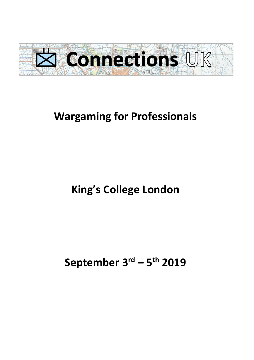

## **Wargaming for Professionals**

# **King's College London**

# **September 3 rd – 5 th 2019**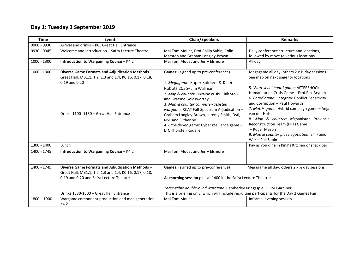## **Day 1: Tuesday 3 September 2019**

| <b>Time</b>   | Event                                                                                                                                                                                           | <b>Chair/Speakers</b>                                                                                                                                                                                                                                                                                                                                                                                                   | <b>Remarks</b>                                                                                                                                                                                                                                                                                                                                                                                                                                                                                                 |  |
|---------------|-------------------------------------------------------------------------------------------------------------------------------------------------------------------------------------------------|-------------------------------------------------------------------------------------------------------------------------------------------------------------------------------------------------------------------------------------------------------------------------------------------------------------------------------------------------------------------------------------------------------------------------|----------------------------------------------------------------------------------------------------------------------------------------------------------------------------------------------------------------------------------------------------------------------------------------------------------------------------------------------------------------------------------------------------------------------------------------------------------------------------------------------------------------|--|
| 0900 - 0930   | Arrival and drinks - KCL Great Hall Entrance                                                                                                                                                    |                                                                                                                                                                                                                                                                                                                                                                                                                         |                                                                                                                                                                                                                                                                                                                                                                                                                                                                                                                |  |
| 0930 - 0945   | Welcome and introduction - Safra Lecture Theatre                                                                                                                                                | Maj Tom Mouat, Prof Philip Sabin, Colin<br>Marston and Graham Longley-Brown                                                                                                                                                                                                                                                                                                                                             | Daily conference structure and locations,<br>followed by move to various locations                                                                                                                                                                                                                                                                                                                                                                                                                             |  |
| 1000 - 1300   | Introduction to Wargaming Course - K4.2                                                                                                                                                         | Maj Tom Mouat and Jerry Elsmore                                                                                                                                                                                                                                                                                                                                                                                         | All day                                                                                                                                                                                                                                                                                                                                                                                                                                                                                                        |  |
| 1000 - 1300   | Diverse Game Formats and Adjudication Methods -<br>Great Hall, MB1.1, 1.2, 1.3 and 1.4, K0.16, 0.17, 0.18,<br>$0.19$ and $0.20$<br>Drinks 1100 -1130 - Great Hall Entrance                      | Games: (signed up to pre-conference)<br>1. Megagame: Super Soldiers & Killer<br>Robots 2035-Jim Wallman<br>2. Map & counter: Ukraine crisis - Rik Stolk<br>and Graeme Goldsworthy<br>3. Map & counter computer-assisted<br>wargame: RCAT Full-Spectrum Adjudication -<br>Graham Longley-Brown, Jeremy Smith, Dstl,<br>NSC and Slitherine<br>4. Card-driven game: Cyber resilience game -<br><b>LTC Thorsten Kodalle</b> | Megagame all day; others 2 x 1/2 day sessions.<br>See map on next page for locations<br>5. 'Euro-style' board game: AFTERSHOCK<br>Humanitarian Crisis Game - Prof Rex Brynen<br>6. Board game: Integrity: Conflict Sensitivity<br>and Corruption - Paul Howarth<br>7. Matrix game: Hybrid campaign game - Anja<br>van der Hulst<br>8. Map & counter: Afghanistan Provincial<br>Reconstruction Team (PRT) Game<br>- Roger Mason<br>9. Map & counter plus negotiation: 2 <sup>nd</sup> Punic<br>War - Phil Sabin |  |
| 1300 - 1400   | Lunch                                                                                                                                                                                           |                                                                                                                                                                                                                                                                                                                                                                                                                         | Pay as you dine in King's Kitchen or snack bar                                                                                                                                                                                                                                                                                                                                                                                                                                                                 |  |
| 1400 - 1745   | Introduction to Wargaming Course - K4.2                                                                                                                                                         | Maj Tom Mouat and Jerry Elsmore                                                                                                                                                                                                                                                                                                                                                                                         |                                                                                                                                                                                                                                                                                                                                                                                                                                                                                                                |  |
| 1400 - 1745   | Diverse Game Formats and Adjudication Methods -<br>Great Hall, MB1.1, 1.2, 1.3 and 1.4, K0.16, 0.17, 0.18,<br>0.19 and 0.20 and Safra Lecture Theatre<br>Drinks 1530-1600 - Great Hall Entrance | Games: (signed up to pre-conference)<br>As morning session plus at 1400 in the Safra Lecture Theatre:                                                                                                                                                                                                                                                                                                                   | Megagame all day; others 2 x 1/2 day sessions<br>Three-table double-blind wargame: Camberley Kriegsspiel - Ivor Gardiner.<br>This is a briefing only, which will include recruiting participants for the Day 2 Games Fair                                                                                                                                                                                                                                                                                      |  |
| $1800 - 1900$ | Wargame component production and map generation -<br>K4.2                                                                                                                                       | Maj Tom Mouat                                                                                                                                                                                                                                                                                                                                                                                                           | Informal evening session                                                                                                                                                                                                                                                                                                                                                                                                                                                                                       |  |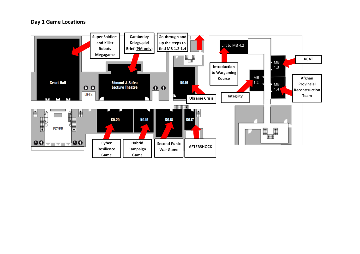#### **Day 1 Game Locations**

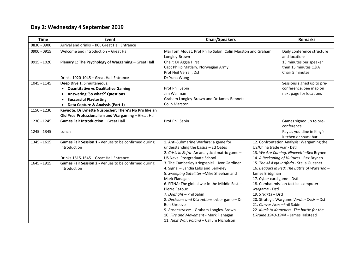## **Day 2: Wednesday 4 September 2019**

| <b>Time</b> | <b>Event</b>                                                                                                                                                                                                            | <b>Chair/Speakers</b>                                                                                                                                                                                                                                                                                                                                                                                                                                |                                                                                                                                                                                                                                                                                                                                                                                          | <b>Remarks</b>                                                                  |
|-------------|-------------------------------------------------------------------------------------------------------------------------------------------------------------------------------------------------------------------------|------------------------------------------------------------------------------------------------------------------------------------------------------------------------------------------------------------------------------------------------------------------------------------------------------------------------------------------------------------------------------------------------------------------------------------------------------|------------------------------------------------------------------------------------------------------------------------------------------------------------------------------------------------------------------------------------------------------------------------------------------------------------------------------------------------------------------------------------------|---------------------------------------------------------------------------------|
| 0830 - 0900 | Arrival and drinks - KCL Great Hall Entrance                                                                                                                                                                            |                                                                                                                                                                                                                                                                                                                                                                                                                                                      |                                                                                                                                                                                                                                                                                                                                                                                          |                                                                                 |
| 0900 - 0915 | Welcome and introduction - Great Hall                                                                                                                                                                                   | Maj Tom Mouat, Prof Philip Sabin, Colin Marston and Graham<br>Longley-Brown                                                                                                                                                                                                                                                                                                                                                                          |                                                                                                                                                                                                                                                                                                                                                                                          | Daily conference structure<br>and locations                                     |
| 0915 - 1020 | Plenary 1: The Psychology of Wargaming - Great Hall<br>Drinks 1020-1045 - Great Hall Entrance                                                                                                                           | Chair: Dr Aggie Hirst<br>Capt Philip Matlary, Norwegian Army<br>Prof Neil Verrall, Dstl<br>Dr Yuna Wong                                                                                                                                                                                                                                                                                                                                              |                                                                                                                                                                                                                                                                                                                                                                                          | 15 minutes per speaker<br>then 15 minutes Q&A<br>Chair 5 minutes                |
| 1045 - 1145 | Deep Dive 1. Simultaneous:<br>• Quantitative vs Qualitative Gaming<br><b>Answering 'So what?' Questions</b><br>$\bullet$<br><b>Successful Playtesting</b><br>$\bullet$<br>Data Capture & Analysis (Part 1)<br>$\bullet$ | Prof Phil Sabin<br>Jim Wallman<br>Graham Longley-Brown and Dr James Bennett<br><b>Colin Marston</b>                                                                                                                                                                                                                                                                                                                                                  |                                                                                                                                                                                                                                                                                                                                                                                          | Sessions signed up to pre-<br>conference. See map on<br>next page for locations |
| 1150 - 1230 | Keynote. Dr Lynette Nusbacher: There's No Pro like an<br>Old Pro: Professionalism and Wargaming - Great Hall                                                                                                            |                                                                                                                                                                                                                                                                                                                                                                                                                                                      |                                                                                                                                                                                                                                                                                                                                                                                          |                                                                                 |
| 1230 - 1245 | <b>Games Fair Introduction - Great Hall</b>                                                                                                                                                                             | Prof Phil Sabin                                                                                                                                                                                                                                                                                                                                                                                                                                      |                                                                                                                                                                                                                                                                                                                                                                                          | Games signed up to pre-<br>conference                                           |
| 1245 - 1345 | Lunch                                                                                                                                                                                                                   |                                                                                                                                                                                                                                                                                                                                                                                                                                                      |                                                                                                                                                                                                                                                                                                                                                                                          | Pay as you dine in King's<br>Kitchen or snack bar.                              |
| 1345 - 1615 | Games Fair Session 1 - Venues to be confirmed during<br>Introduction<br>Drinks 1615-1645 - Great Hall Entrance                                                                                                          | 1. Anti-Submarine Warfare: a game for<br>understanding the basics - Ed Oates<br>2. Crisis in Zefra: An analytical matrix game -<br>US Naval Postgraduate School                                                                                                                                                                                                                                                                                      | 12. Confrontation Analysis: Wargaming the<br>US/China trade war - Dstl<br>13. We Are Coming, Nineveh! - Rex Brynen<br>14. A Reckoning of Vultures - Rex Brynen                                                                                                                                                                                                                           |                                                                                 |
| 1645 - 1915 | Games Fair Session 2 - Venues to be confirmed during<br>Introduction                                                                                                                                                    | 3. The Camberley Kriegsspiel - Ivor Gardiner<br>4. Signal - Sandia Labs and Berkeley<br>5. Sweeping Satellites - Mike Sheehan and<br>Mark Flanagan<br>6. FITNA: The global war in the Middle East -<br>Pierre Razoux<br>7. Dogfight - Phil Sabin<br>8. Decisions and Disruptions cyber game - Dr<br><b>Ben Shreeve</b><br>9. Rosenstrasse - Graham Longley-Brown<br>10. Fire and Movement - Mark Flanagan<br>11. Next War: Poland - Callum Nicholson | 15. The Al Asqa Intifada - Stella Guesnet<br>16. Beggars in Red: The Battle of Waterloo -<br>James Bridgman<br>17. Cyber card game - Dstl<br>18. Combat mission tactical computer<br>wargame - Dstl<br>19. STRIKE! - Dstl<br>20. Strategic Wargame Verden Crisis - Dstl<br>21. Canvas Aces-Phil Sabin<br>22. Kursk to Kamenets: The battle for the<br>Ukraine 1943-1944 - James Halstead |                                                                                 |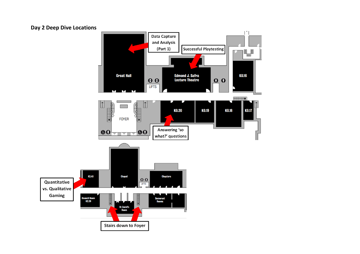### **Day 2 Deep Dive Locations**

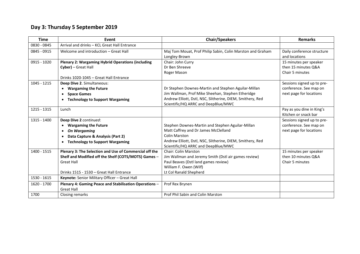## **Day 3: Thursday 5 September 2019**

| <b>Time</b> | Event                                                    | <b>Chair/Speakers</b>                                      | <b>Remarks</b>             |
|-------------|----------------------------------------------------------|------------------------------------------------------------|----------------------------|
| 0830 - 0845 | Arrival and drinks - KCL Great Hall Entrance             |                                                            |                            |
| 0845 - 0915 | Welcome and introduction - Great Hall                    | Maj Tom Mouat, Prof Philip Sabin, Colin Marston and Graham | Daily conference structure |
|             |                                                          | Longley-Brown                                              | and locations              |
| 0915 - 1020 | <b>Plenary 2: Wargaming Hybrid Operations (including</b> | Chair: John Curry                                          | 15 minutes per speaker     |
|             | Cyber) - Great Hall                                      | Dr Ben Shreeve                                             | then 15 minutes Q&A        |
|             |                                                          | Roger Mason                                                | Chair 5 minutes            |
|             | Drinks 1020-1045 - Great Hall Entrance                   |                                                            |                            |
| 1045 - 1215 | Deep Dive 2. Simultaneous:                               |                                                            | Sessions signed up to pre- |
|             | <b>Wargaming the Future</b><br>$\bullet$                 | Dr Stephen Downes-Martin and Stephen Aguilar-Millan        | conference. See map on     |
|             | <b>Space Games</b><br>$\bullet$                          | Jim Wallman, Prof Mike Sheehan, Stephen Etheridge          | next page for locations    |
|             | <b>Technology to Support Wargaming</b><br>$\bullet$      | Andrew Elliott, Dstl, NSC, Slitherine, DIEM, Smithery, Red |                            |
|             |                                                          | Scientific/HQ ARRC and DeepBlue/MWC                        |                            |
| 1215 - 1315 | Lunch                                                    |                                                            | Pay as you dine in King's  |
|             |                                                          |                                                            | Kitchen or snack bar       |
| 1315 - 1400 | Deep Dive 2 continued:                                   |                                                            | Sessions signed up to pre- |
|             | <b>Wargaming the Future</b>                              | Stephen Downes-Martin and Stephen Aguilar-Millan           | conference. See map on     |
|             | <b>On Wargaming</b><br>$\bullet$                         | Matt Caffrey and Dr James McClelland                       | next page for locations    |
|             | Data Capture & Analysis (Part 2)<br>$\bullet$            | <b>Colin Marston</b>                                       |                            |
|             | <b>Technology to Support Wargaming</b><br>$\bullet$      | Andrew Elliott, Dstl, NSC, Slitherine, DIEM, Smithery, Red |                            |
|             |                                                          | Scientific/HQ ARRC and DeepBlue/MWC                        |                            |
| 1400 - 1515 | Plenary 3: The Selection and Use of Commercial off the   | <b>Chair: Colin Marston</b>                                | 15 minutes per speaker     |
|             | Shelf and Modified off the Shelf (COTS/MOTS) Games -     | Jim Wallman and Jeremy Smith (Dstl air games review)       | then 10 minutes O&A        |
|             | <b>Great Hall</b>                                        | Paul Beaves (Dstl land games review)                       | Chair 5 minutes            |
|             |                                                          | William F. Owen (Wilf)                                     |                            |
|             | Drinks 1515 - 1530 - Great Hall Entrance                 | Lt Col Ranald Shepherd                                     |                            |
| 1530 - 1615 | Keynote: Senior Military Officer - Great Hall            |                                                            |                            |
| 1620 - 1700 | Plenary 4: Gaming Peace and Stabilisation Operations -   | Prof Rex Brynen                                            |                            |
|             | <b>Great Hall</b>                                        |                                                            |                            |
| 1700        | Closing remarks                                          | Prof Phil Sabin and Colin Marston                          |                            |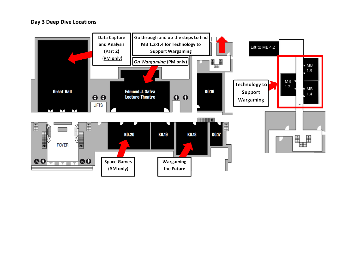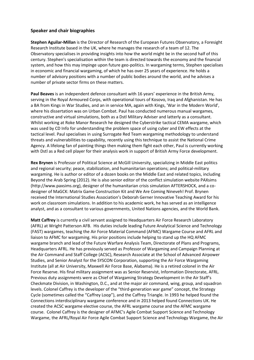#### **Speaker and chair biographies**

**Stephen Aguilar-Millan** is the Director of Research of the European Futures Observatory, a Foresight Research Institute based in the UK, where he manages the research of a team of 12. The Observatory specialises in providing insights into how the world might be in the second half of this century. Stephen's specialisation within the team is directed towards the economy and the financial system, and how this may impinge upon future geo-politics. In wargaming terms, Stephen specialises in economic and financial wargaming, of which he has over 25 years of experience. He holds a number of advisory positions with a number of public bodies around the world, and he advises a number of private sector firms on these matters.

**Paul Beaves** is an independent defence consultant with 16 years' experience in the British Army, serving in the Royal Armoured Corps, with operational tours of Kosovo, Iraq and Afghanistan. He has a BA from Kings in War Studies, and an in service MA, again with Kings, 'War in the Modern World', where his dissertation was on Urban Combat. Paul has conducted numerous manual wargames, constructive and virtual simulations, both as a Dstl Military Adviser and latterly as a consultant. Whilst working at Roke Manor Research he designed the Cyberstrike tactical CEMA wargame, which was used by CD Info for understanding the problem space of using cyber and EW effects at the tactical level. Paul specialises in using Surrogate Red Team wargaming methodology to understand threats and vulnerabilities to capability, recently using this technique to assist the National Crime Agency. A lifelong fan of painting things then making them fight each other, Paul is currently working with Dstl as a Red cell player for their analysis work in support of British Army Force development.

**Rex Brynen** is Professor of Political Science at McGill University, specializing in Middle East politics and regional security; peace, stabilization, and humanitarian operations; and political-military wargaming. He is author or editor of a dozen books on the Middle East and related topics, including Beyond the Arab Spring (2012). He is also senior editor of the conflict simulation website PAXsims (http://www.paxsims.org), designer of the humanitarian crisis simulation AFTERSHOCK, and a codesigner of MaGCK: Matrix Game Construction Kit and We Are Coming Nineveh! Prof. Brynen received the International Studies Association's Deborah Gerner Innovative Teaching Award for his work on classroom simulations. In addition to his academic work, he has served as an intelligence analyst, and as a consultant to various governments, United Nations agencies, and the World Bank.

**Matt Caffrey** is currently a civil servant assigned to Headquarters Air Force Research Laboratory (AFRL) at Wright Patterson AFB. His duties include leading Future Analytical Science and Technology (FAST) wargames, teaching the Air Force Material Command (AFMC) Wargame Course and AFRL and liaison to AFMC for wargaming. His prior positions include helping to stand up the HQ AFMC wargame branch and lead of the Future Warfare Analysis Team, Directorate of Plans and Programs, Headquarters AFRL. He has previously served as Professor of Wargaming and Campaign Planning at the Air Command and Staff College (ACSC), Research Associate at the School of Advanced Airpower Studies, and Senior Analyst for the SYSCON Corporation, supporting the Air Force Wargaming Institute (all at Air University, Maxwell Air Force Base, Alabama). He is a retired colonel in the Air Force Reserve. His final military assignment was as Senior Reservist, Information Directorate, AFRL. Previous duty assignments were as Chief of Wargaming Strategy Development in the Air Staff's Checkmate Division, in Washington, D.C., and at the major air command, wing, group, and squadron levels. Colonel Caffrey is the developer of the "third-generation war game" concept, the Strategy Cycle (sometimes called the "Caffrey Loop"), and the Caffrey Triangle. In 1993 he helped found the Connections interdisciplinary wargame conference and in 2013 helped found Connections UK. He created the ACSC wargame elective course, the AFRL wargame course and the AFMC wargame course. Colonel Caffrey is the designer of AFMC's Agile Combat Support Science and Technology Wargame, the AFRL/Royal Air Force Agile Combat Support Science and Technology Wargame, the Air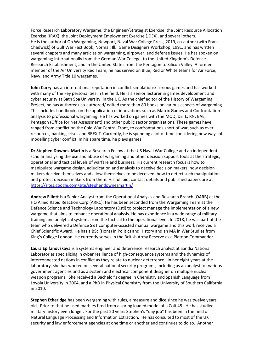Force Research Laboratory Wargame, the Engineer/Strategist Exercise, the Joint Resource Allocation Exercise (JRAX), the Joint Deployment Employment Exercise (JDEX), and several others. He is the author of On Wargaming, Newport, Naval War College Press, 2019, co-author (with Frank Chadwick) of Gulf War Fact Book, Normal, Ill.: Game Designers Workshop, 1991, and has written several chapters and many articles on wargaming, airpower, and defense issues. He has spoken on wargaming; internationally from the German War College, to the United Kingdom's Defense Research Establishment, and in the United States from the Pentagon to Silicon Valley. A former member of the Air University Red Team, he has served on Blue, Red or White teams for Air Force, Navy, and Army Title 10 wargames.

**John Curry** has an international reputation in conflict simulations/ serious games and has worked with many of the key personalities in the field. He is a senior lecturer in games development and cyber security at Bath Spa University, in the UK. As the chief editor of the History of Wargaming Project, he has authored/ co-authored/ edited more than 80 books on various aspects of wargaming. This includes handbooks on the application of innovations such as Matrix Games and Confrontation analysis to professional wargaming. He has worked on games with the MOD, DSTL, RN, BAE, Pentagon (Office for Net Assessment) and other public sector organisations. These games have ranged from conflict on the Cold War Central Front, to confrontations short of war, such as over resources, banking crises and BREXIT. Currently, he is spending a lot of time considering new ways of modelling cyber conflict. In his spare time, he plays games.

**Dr Stephen Downes-Martin** is a Research Fellow at the US Naval War College and an independent scholar analysing the use and abuse of wargaming and other decision support tools at the strategic, operational and tactical levels of warfare and business. His current research focus is how to manipulate wargame design, adjudication and analysis to deceive decision makers, how decision makers deceive themselves and allow themselves to be deceived, how to detect such manipulation and protect decision makers from them. His full bio, contact details and published papers are at <https://sites.google.com/site/stephendownesmartin/>

**Andrew Elliott** is a Senior Analyst from the Operational Analysis and Research Branch (OARB) at the HQ Allied Rapid Reaction Corp (ARRC). He has been seconded from the Wargaming Team at the Defence Science and Technology Laboratory (Dstl) to project manage the implementation of a new wargame that aims to enhance operational analysis. He has experience in a wide range of military training and analytical systems from the tactical to the operational level. In 2018, he was part of the team who delivered a Defence S&T computer-assisted manual wargame and this work received a Chief Scientific Award. He has a BSc (Hons) in Politics and History and an MA in War Studies from King's College London. He currently serves in the British Army Reserve as a Platoon Commander.

**Laura Epifanovskaya** is a systems engineer and deterrence research analyst at Sandia National Laboratories specializing in cyber resilience of high-consequence systems and the dynamics of interconnected nations in conflict as they relate to nuclear deterrence. In her eight years at the laboratory, she has worked on several national security programs, including as an analyst for various government agencies and as a system and electrical component designer on multiple nuclear weapon programs. She received a Bachelor's degree in Chemistry and Spanish Language from Loyola University in 2004, and a PhD in Physical Chemistry from the University of Southern California in 2010.

**Stephen Etheridge** has been wargaming with rules, a measure and dice since he was twelve years old. Prior to that he used marbles fired from a spring loaded model of a Colt 45. He has studied military history even longer. For the past 20 years Stephen's "day job" has been in the field of Natural Language Processing and Information Extraction. He has consulted to most of the UK security and law enforcement agencies at one time or another and continues to do so. Another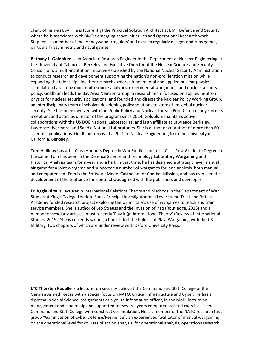client of his was ESA. He is (currently) the Principal Solution Architect at BMT Defence and Security, where he is associated with BMT's emerging space initiatives and Operational Research work. Stephen is a member of the 'Abbeywood Irregulars' and as such regularly designs and runs games, particularly asymmetric and naval games.

**Bethany L. Goldblum** is an Associate Research Engineer in the Department of Nuclear Engineering at the University of California, Berkeley and Executive Director of the Nuclear Science and Security Consortium, a multi-institution initiative established by the National Nuclear Security Administration to conduct research and development supporting the nation's non-proliferation mission while expanding the talent pipeline. Her research explores fundamental and applied nuclear physics, scintillator characterization, multi-source analytics, experimental wargaming, and nuclear security policy. Goldblum leads the Bay Area Neutron Group, a research team focused on applied neutron physics for nuclear security applications, and founded and directs the Nuclear Policy Working Group, an interdisciplinary team of scholars developing policy solutions to strengthen global nuclear security. She has been involved with the Public Policy and Nuclear Threats Boot Camp nearly since its inception, and acted as director of the program since 2014. Goldblum maintains active collaborations with the US DOE National Laboratories, and is an affiliate at Lawrence Berkeley, Lawrence Livermore, and Sandia National Laboratories. She is author or co-author of more than 60 scientific publications. Goldblum received a Ph.D. in Nuclear Engineering from the University of California, Berkeley.

**Tom Halliday** has a 1st Class Honours Degree in War Studies and a 1st Class Post Graduate Degree in the same. Tom has been in the Defence Science and Technology Laboratory Wargaming and Historical Analysis team for a year and a half. In that time, he has designed a strategic level manual air game for a joint wargame and supported a number of wargames for land analysis, both manual and computerised. Tom is the Software Model Custodian for Combat Mission, and has overseen the development of the tool since the contract was agreed with the publishers and developer.

**Dr Aggie Hirst** is Lecturer in International Relations Theory and Methods in the Department of War Studies at King's College London. She is Principal Investigator on a Leverhulme Trust and British Academy funded research project exploring the US military's use of wargames to teach and train service members. She is author of Leo Strauss and the Invasion of Iraq (Routledge, 2013) and a number of scholarly articles, most recently 'Play in(g) International Theory' (Review of International Studies, 2019). She is currently writing a book titled The Politics of Play: Wargaming with the US Military, two chapters of which are under review with Oxford University Press.

**LTC Thorsten Kodalle** is a lecturer on security policy at the Command and Staff College of the German Armed Forces with a special focus on NATO, Critical Infrastructure and Cyber. He has a diploma in Social Science, assignments as a youth information officer, in the MoD, lecture on management and leadership and supported for several years computer assisted exercises at the Command and Staff College with constructive simulation. He is a member of the NATO research task group "Gamification of Cyber Defense/Resilience", an experienced facilitator of manual wargaming on the operational level for courses of action analysis, for operational analysis, operations research,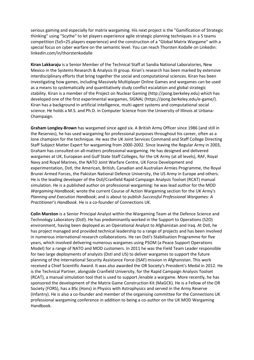serious gaming and especially for matrix wargaming. His next project is the "Gamification of Strategic thinking" using "Scythe" to let players experience agile strategic planning techniques in a 5 teams competition (5x5=25 players experience) and the construction of a "Global Matrix Wargame" with a special focus on cyber warfare on the semantic level. You can reach Thorsten Kodalle on Linkedin: linkedin.com/in/thorstenkodalle

**Kiran Lakkaraju** is a Senior Member of the Technical Staff at Sandia National Laboratories, New Mexico in the Systems Research & Analysis III group. Kiran's research has been marked by extensive interdisciplinary efforts that bring together the social and computational sciences. Kiran has been investigating how games, including Massively Multiplayer Online Games and wargames can be used as a means to systematically and quantitatively study conflict escalation and global strategic stability. Kiran is a member of the Project on Nuclear Gaming (http://pong.berkeley.edu) which has developed one of the first experimental wargames, SIGNAL (https://pong.berkeley.edu/e-game/). Kiran has a background in artificial intelligence, multi-agent systems and computational social science. He holds a M.S. and Ph.D. in Computer Science from the University of Illinois at Urbana-Champaign.

**Graham Longley-Brown** has wargamed since aged six. A British Army Officer since 1986 (and still in the Reserves), he has used wargaming for professional purposes throughout his career, often as a lone champion for the technique. He was the UK Joint Services Command and Staff College Directing Staff Subject Matter Expert for wargaming from 2000-2002. Since leaving the Regular Army in 2003, Graham has consulted on all-matters professional wargaming. He has designed and delivered wargames at UK, European and Gulf State Staff Colleges, for the UK Army (at all levels), RAF, Royal Navy and Royal Marines, the NATO Joint Warfare Centre, UK Force Development and experimentation, Dstl, the American, British, Canadian and Australian Armies Programme, the Royal Brunei Armed Forces, the Pakistan National Defence University, the US Army in Europe and others. He is the leading developer of the Dstl/Cranfield Rapid Campaign Analysis Toolset (RCAT) manual simulation. He is a published author on professional wargaming: he was lead author for the MOD *Wargaming Handbook*; wrote the current Course of Action Wargaming section for the UK Army's *Planning and Execution Handbook*; and is about to publish *Successful Professional Wargames: A Practitioner's Handbook*. He is a co-founder of Connections UK.

**Colin Marston** is a Senior Principal Analyst within the Wargaming Team at the Defence Science and Technology Laboratory (Dstl). He has predominantly worked in the Support to Operations (S2O) environment, having been deployed as an Operational Analyst to Afghanistan and Iraq. At Dstl, he has project managed and provided technical leadership to a range of projects and has been involved in numerous international research collaborations. He ran Dstl's Stabilisation Programme for five years, which involved delivering numerous wargames using PSOM (a Peace Support Operations Model) for a range of NATO and MOD customers. In 2011 he was the Field Team Leader responsible for two large deployments of analysts (Dstl and US) to deliver wargames to support the future planning of the International Security Assistance Force (ISAF) mission in Afghanistan. This work received a Chief Scientific Award. It was also awarded the OR Society's President's Medal in 2012. He is the Technical Partner, alongside Cranfield University, for the Rapid Campaign Analysis Toolset (RCAT), a manual simulation tool that is used to support /enable a wargame. More recently, he has sponsored the development of the Matrix Game Construction Kit (MaGCK). He is a Fellow of the OR Society (FORS), has a BSc (Hons) in Physics with Astrophysics and served in the Army Reserve (Infantry). He is also a co-founder and member of the organising committee for the Connections UK professional wargaming conference in addition to being a co-author on the UK MOD Wargaming Handbook.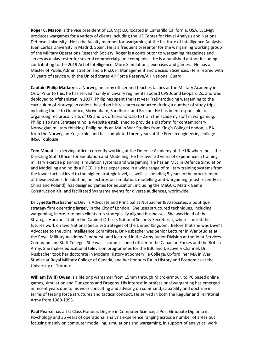**Roger C. Mason** is the vice president of LECMgt LLC located in Camarillo California, USA. LECMgt produces wargames for a variety of clients including the US Center for Naval Analysis and National Défense University. He is the faculty member for wargaming at the Institute of Intelligence Analysis, Juan Carlos University in Madrid, Spain. He is a frequent presenter for the wargaming working group of the Military Operations Research Society. Roger is a contributor to wargaming magazines and serves as a play tester for several commercial game companies. He is a published author including contributing to the 2019 Art of Intelligence: More Simulations, exercises and games. He has a Master of Public Administration and a Ph.D. in Management and Decision Sciences. He is retired with 37 years of service with the United States Air Force Reserve/Air National Guard.

**Captain Philip Matlary** is a Norwegian army officer and teaches tactics at the Military Academy in Oslo. Prior to this, he has served mainly in cavalry regiments aboard CV90s and Leopard 2s, and was deployed to Afghanistan in 2007. Philip has spent the last year (re)introducing wargaming to the curriculum of Norwegian cadets, based on his research conducted during a number of study trips including those to Quantico, Shrivenham, Sandhurst and Brecon. He has been responsible for organising reciprocal visits of US and UK officers to Oslo to train the academy staff in wargaming. Philip also runs Stratagem.no, a website established to provide a platform for contemporary Norwegian military thinking. Philip holds an MA in War Studies from King's College London, a BA from the Norwegian Krigsskole, and has completed three years at the French engineering college INSA Toulouse.

**Tom Mouat** is a serving officer currently working at the Defence Academy of the UK where he is the Directing Staff Officer for Simulation and Modelling. He has over 30 years of experience in training, military exercise planning, simulation systems and wargaming. He has an MSc in Defence Simulation and Modelling and holds a PGCE. He has experience in a wide range of military training systems from the lower tactical level to the higher strategic level, as well as spending 5 years in the procurement of these systems. In addition, he lectures on simulation, modelling and wargaming (most recently in China and Poland); has designed games for education, including the MaGCK: Matrix Game Construction Kit; and facilitated Wargame events for diverse audiences, worldwide.

**Dr Lynette Nusbacher** is Devil's Advocate and Principal at Nusbacher & Associates, a boutique strategy firm operating largely in the City of London. She uses structured techniques, including wargaming, in order to help clients run strategically aligned businesses. She was Head of the Strategic Horizons Unit in the Cabinet Office's National Security Secretariat, where she led the futures work on two National Security Strategies of the United Kingdom. Before that she was Devil's Advocate to the Joint Intelligence Committee. Dr Nusbacher was Senior Lecturer in War Studies at the Royal Military Academy Sandhurst, and lectured in the Army Junior Division at the Joint Services Command and Staff College. She was a commissioned officer in the Canadian Forces and the British Army. She makes educational television programmes for the BBC and Discovery Channel. Dr Nusbacher took her doctorate in Modern History at Somerville College, Oxford, her MA in War Studies at Royal Military College of Canada, and her honours BA in History and Economics at the University of Toronto.

**William (Wilf) Owen** is a lifelong wargamer from 15mm through Micro-armour, to PC based online games, simulation and Dungeons and Dragons. His interest in professional wargaming has emerged in recent years due to his work consulting and advising on command, capability and doctrine in terms of testing force structures and tactical conduct. He served in both the Regular and Territorial Army from 1980-1993.

**Paul Pearce** has a 1st Class Honours Degree in Computer Science, a Post Graduate Diploma in Psychology and 36 years of operational analysis experience ranging across a number of areas but focusing mainly on computer modelling, simulations and wargaming, in support of analytical work.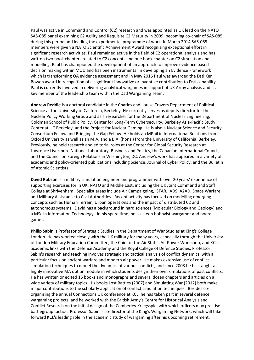Paul was active in Command and Control (C2) research and was appointed as UK lead on the NATO SAS-085 panel examining C2 Agility and Requisite C2 Maturity in 2009, becoming co-chair of SAS-085 during this period and leading the experimental programme of work. In March 2014 SAS-085 members were given a NATO Scientific Achievement Award recognising exceptional effort in significant research activities. Paul remained active in the field of C2 operational analysis and has written two book chapters related to C2 concepts and one book chapter on C2 simulation and modelling. Paul has championed the development of an approach to improve evidence based decision making within MOD and has been instrumental in developing an Evidence Framework which is transforming OA evidence assessment and in May 2016 Paul was awarded the Dstl Ken Bowen award in recognition of a significant innovative or inventive contribution to Dstl capability. Paul is currently involved in delivering analytical wargames in support of UK Army analysis and is a key member of the leadership team within the Dstl Wargaming Team.

**Andrew Reddie** is a doctoral candidate in the Charles and Louise Travers Department of Political Science at the University of California, Berkeley. He currently serves as deputy director for the Nuclear Policy Working Group and as a researcher for the Department of Nuclear Engineering, Goldman School of Public Policy, Center for Long-Term Cybersecurity, Berkeley Asia-Pacific Study Center at UC Berkeley, and the Project for Nuclear Gaming. He is also a Nuclear Science and Security Consortium Fellow and Bridging the Gap Fellow. He holds an MPhil in International Relations from Oxford University as well as an M.A. and a B.A. (hons.) from the University of California, Berkeley. Previously, he held research and editorial roles at the Center for Global Security Research at Lawrence Livermore National Laboratory, Business and Politics, the Canadian International Council, and the Council on Foreign Relations in Washington, DC. Andrew's work has appeared in a variety of academic and policy-oriented publications including Science, Journal of Cyber Policy, and the Bulletin of Atomic Scientists.

**David Robson** is a military simulation engineer and programmer with over 20 years' experience of supporting exercises for in UK, NATO and Middle East, including the UK Joint Command and Staff College at Shrivenham. Specialist areas include Air Campaigning, ISTAR, IADS, A2AD, Space Warfare and Military Assistance to Civil Authorities. Recent activity has focused on modelling emerging concepts such as Human Terrain, Urban operations and the impact of distributed C2 and autonomous systems. David has a background in hard sciences (Molecular Biology and Geology) and a MSc in Information Technology. In his spare time, he is a keen hobbyist wargamer and board gamer.

**Philip Sabin** is Professor of Strategic Studies in the Department of War Studies at King's College London. He has worked closely with the UK military for many years, especially through the University of London Military Education Committee, the Chief of the Air Staff's Air Power Workshop, and KCL's academic links with the Defence Academy and the Royal College of Defence Studies. Professor Sabin's research and teaching involves strategic and tactical analysis of conflict dynamics, with a particular focus on ancient warfare and modern air power. He makes extensive use of conflict simulation techniques to model the dynamics of various conflicts, and since 2003 he has taught a highly innovative MA option module in which students design their own simulations of past conflicts. He has written or edited 15 books and monographs and several dozen chapters and articles on a wide variety of military topics. His books Lost Battles (2007) and Simulating War (2012) both make major contributions to the scholarly application of conflict simulation techniques. Besides coorganising the annual Connections UK conference at KCL, he has taken part in several defence wargaming projects, and he worked with the British Army's Centre for Historical Analysis and Conflict Research on the initial design of the Camberley Kriegsspiel with which officers may practise battlegroup tactics. Professor Sabin is co-director of the King's Wargaming Network, which will take forward KCL's leading role in the academic study of wargaming after his upcoming retirement.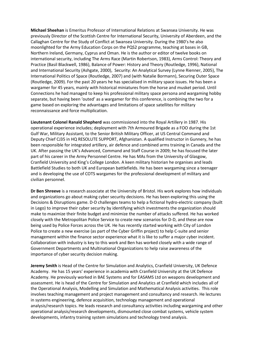**Michael Sheehan** is Emeritus Professor of International Relations at Swansea University. He was previously Director of the Scottish Centre for International Security, University of Aberdeen, and the Callaghan Centre for the Study of Conflict at Swansea University. During the 1980's he also moonlighted for the Army Education Corps on the PQS2 programme, teaching at bases in GB, Northern Ireland, Germany, Cyprus and Oman. He is the author or editor of twelve books on international security, including The Arms Race (Martin Robertson, 1983), Arms Control: Theory and Practice (Basil Blackwell, 1986), Balance of Power: History and Theory (Routledge, 1996), National and International Security (Ashgate, 2000), Security: An Analytical Survey (Lynne Rienner, 2005), The International Politics of Space (Routledge, 2007) and (with Natalie Bormann), Securing Outer Space (Routledge, 2009). For the past 20 years he has specialised in military space issues. He has been a wargamer for 45 years, mainly with historical miniatures from the horse and musket period. Until Connections he had managed to keep his professional military space persona and wargaming hobby separate, but having been 'outed' as a wargamer for this conference, is combining the two for a game based on exploring the advantages and limitations of space satellites for military reconnaissance and force multiplication.

**Lieutenant Colonel Ranald Shepherd** was commissioned into the Royal Artillery in 1987. His operational experience includes; deployment with 7th Armoured Brigade as a FOO during the 1st Gulf War, Military Assistant, to the Senior British Military Officer, at US Central Command and Deputy Chief CJ35 in HQ RESOLUTE SUPPORT, Afghanistan. A qualified Instructor in Gunnery, he has been responsible for integrated artillery, air defence and combined arms training in Canada and the UK. After passing the UK's Advanced, Command and Staff Course in 2009; he has focused the later part of his career in the Army Personnel Centre. He has MAs from the University of Glasgow, Cranfield University and King's College London. A keen military historian he organises and leads Battlefield Studies to both UK and European battlefields. He has been wargaming since a teenager and is developing the use of COTS wargames for the professional development of military and civilian personnel.

**Dr Ben Shreeve** is a research associate at the University of Bristol. His work explores how individuals and organizations go about making cyber security decisions. He has been exploring this using the Decisions & Disruptions game. D-D challenges teams to help a fictional hydro-electric company (built in Lego) to improve their cyber security by identifying which investments the organization should make to maximize their finite budget and minimize the number of attacks suffered. He has worked closely with the Metropolitan Police Service to create new scenarios for D-D, and these are now being used by Police Forces across the UK. He has recently started working with City of London Police to create a new exercise (as part of the Cyber Griffin project) to help C-suite and senior management within the finance sector experience what it is like to suffer a major cyber incident. Collaboration with industry is key to this work and Ben has worked closely with a wide range of Government Departments and Multinational Organizations to help raise awareness of the importance of cyber security decision making.

**Jeremy Smith** is Head of the Centre for Simulation and Analytics, Cranfield University, UK Defence Academy. He has 15 years' experience in academia with Cranfield University at the UK Defence Academy. He previously worked in BAE Systems and for EASAMS Ltd on weapons development and assessment. He is head of the Centre for Simulation and Analytics at Cranfield which includes all of the Operational Analysis, Modelling and Simulation and Mathematical Analysis activities. This role involves teaching management and project management and consultancy and research. He lectures in systems engineering, defence acquisition, technology management and operational analysis/research topics. He leads research and consultancy activities including wargaming and other operational analysis/research developments, dismounted close combat systems, vehicle system developments, infantry training system simulations and technology trend analysis.